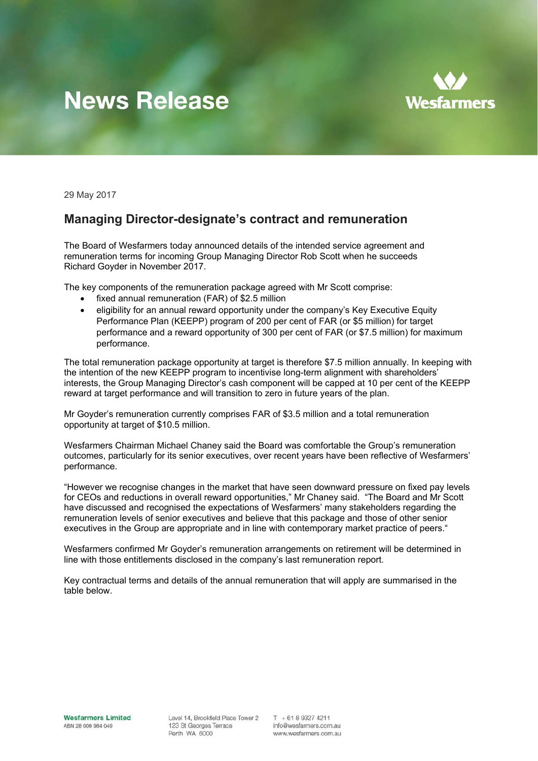## **News Release**



29 May 2017

## **Managing Director-designate's contract and remuneration**

The Board of Wesfarmers today announced details of the intended service agreement and remuneration terms for incoming Group Managing Director Rob Scott when he succeeds Richard Goyder in November 2017.

The key components of the remuneration package agreed with Mr Scott comprise:

- fixed annual remuneration (FAR) of \$2.5 million
- eligibility for an annual reward opportunity under the company's Key Executive Equity Performance Plan (KEEPP) program of 200 per cent of FAR (or \$5 million) for target performance and a reward opportunity of 300 per cent of FAR (or \$7.5 million) for maximum performance.

The total remuneration package opportunity at target is therefore \$7.5 million annually. In keeping with the intention of the new KEEPP program to incentivise long-term alignment with shareholders' interests, the Group Managing Director's cash component will be capped at 10 per cent of the KEEPP reward at target performance and will transition to zero in future years of the plan.

Mr Goyder's remuneration currently comprises FAR of \$3.5 million and a total remuneration opportunity at target of \$10.5 million.

Wesfarmers Chairman Michael Chaney said the Board was comfortable the Group's remuneration outcomes, particularly for its senior executives, over recent years have been reflective of Wesfarmers' performance.

"However we recognise changes in the market that have seen downward pressure on fixed pay levels for CEOs and reductions in overall reward opportunities," Mr Chaney said. "The Board and Mr Scott have discussed and recognised the expectations of Wesfarmers' many stakeholders regarding the remuneration levels of senior executives and believe that this package and those of other senior executives in the Group are appropriate and in line with contemporary market practice of peers."

Wesfarmers confirmed Mr Goyder's remuneration arrangements on retirement will be determined in line with those entitlements disclosed in the company's last remuneration report.

Key contractual terms and details of the annual remuneration that will apply are summarised in the table below.

**Wesfarmers Limited** Level 14, Brookfield Place Tower 2<br>ABN 28 008 984 049<br>Perth WA 6000

 $T + 61893274211$ info@wesfarmers.com.au www.wesfarmers.com.au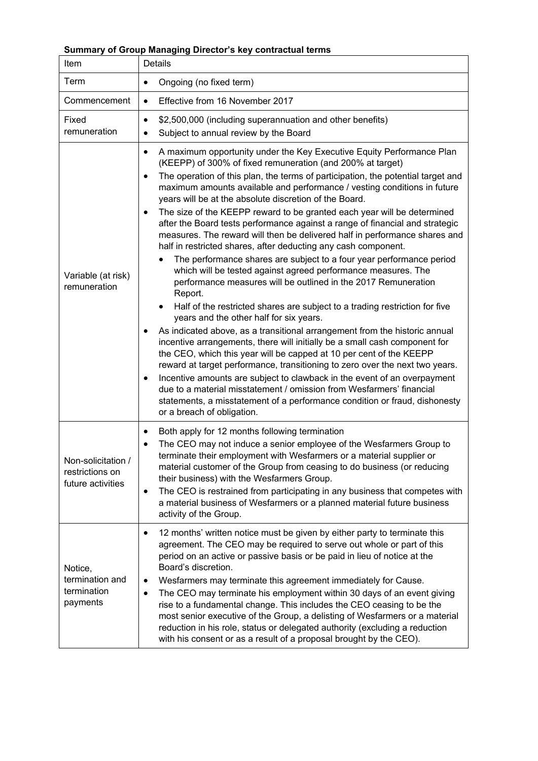## **Summary of Group Managing Director's key contractual terms**

| Item                                                       | Details                                                                                                                                                                                                                                                                                                                                                                                                                                                                                                                                                                                                                                                                                                                                                                                                                                                                                                                                                                                                                                                                                                                                                                                                                                                                                                                                                                                                                                                                                                                                                                                                                            |
|------------------------------------------------------------|------------------------------------------------------------------------------------------------------------------------------------------------------------------------------------------------------------------------------------------------------------------------------------------------------------------------------------------------------------------------------------------------------------------------------------------------------------------------------------------------------------------------------------------------------------------------------------------------------------------------------------------------------------------------------------------------------------------------------------------------------------------------------------------------------------------------------------------------------------------------------------------------------------------------------------------------------------------------------------------------------------------------------------------------------------------------------------------------------------------------------------------------------------------------------------------------------------------------------------------------------------------------------------------------------------------------------------------------------------------------------------------------------------------------------------------------------------------------------------------------------------------------------------------------------------------------------------------------------------------------------------|
| Term                                                       | Ongoing (no fixed term)<br>$\bullet$                                                                                                                                                                                                                                                                                                                                                                                                                                                                                                                                                                                                                                                                                                                                                                                                                                                                                                                                                                                                                                                                                                                                                                                                                                                                                                                                                                                                                                                                                                                                                                                               |
| Commencement                                               | Effective from 16 November 2017<br>$\bullet$                                                                                                                                                                                                                                                                                                                                                                                                                                                                                                                                                                                                                                                                                                                                                                                                                                                                                                                                                                                                                                                                                                                                                                                                                                                                                                                                                                                                                                                                                                                                                                                       |
| Fixed<br>remuneration                                      | \$2,500,000 (including superannuation and other benefits)<br>$\bullet$<br>Subject to annual review by the Board<br>$\bullet$                                                                                                                                                                                                                                                                                                                                                                                                                                                                                                                                                                                                                                                                                                                                                                                                                                                                                                                                                                                                                                                                                                                                                                                                                                                                                                                                                                                                                                                                                                       |
| Variable (at risk)<br>remuneration                         | A maximum opportunity under the Key Executive Equity Performance Plan<br>٠<br>(KEEPP) of 300% of fixed remuneration (and 200% at target)<br>The operation of this plan, the terms of participation, the potential target and<br>maximum amounts available and performance / vesting conditions in future<br>years will be at the absolute discretion of the Board.<br>The size of the KEEPP reward to be granted each year will be determined<br>٠<br>after the Board tests performance against a range of financial and strategic<br>measures. The reward will then be delivered half in performance shares and<br>half in restricted shares, after deducting any cash component.<br>The performance shares are subject to a four year performance period<br>which will be tested against agreed performance measures. The<br>performance measures will be outlined in the 2017 Remuneration<br>Report.<br>Half of the restricted shares are subject to a trading restriction for five<br>$\bullet$<br>years and the other half for six years.<br>As indicated above, as a transitional arrangement from the historic annual<br>incentive arrangements, there will initially be a small cash component for<br>the CEO, which this year will be capped at 10 per cent of the KEEPP<br>reward at target performance, transitioning to zero over the next two years.<br>Incentive amounts are subject to clawback in the event of an overpayment<br>due to a material misstatement / omission from Wesfarmers' financial<br>statements, a misstatement of a performance condition or fraud, dishonesty<br>or a breach of obligation. |
| Non-solicitation /<br>restrictions on<br>future activities | Both apply for 12 months following termination<br>٠<br>The CEO may not induce a senior employee of the Wesfarmers Group to<br>terminate their employment with Wesfarmers or a material supplier or<br>material customer of the Group from ceasing to do business (or reducing<br>their business) with the Wesfarmers Group.<br>The CEO is restrained from participating in any business that competes with<br>$\bullet$<br>a material business of Wesfarmers or a planned material future business<br>activity of the Group.                                                                                                                                                                                                                                                                                                                                                                                                                                                                                                                                                                                                                                                                                                                                                                                                                                                                                                                                                                                                                                                                                                       |
| Notice,<br>termination and<br>termination<br>payments      | 12 months' written notice must be given by either party to terminate this<br>$\bullet$<br>agreement. The CEO may be required to serve out whole or part of this<br>period on an active or passive basis or be paid in lieu of notice at the<br>Board's discretion.<br>Wesfarmers may terminate this agreement immediately for Cause.<br>٠<br>The CEO may terminate his employment within 30 days of an event giving<br>$\bullet$<br>rise to a fundamental change. This includes the CEO ceasing to be the<br>most senior executive of the Group, a delisting of Wesfarmers or a material<br>reduction in his role, status or delegated authority (excluding a reduction<br>with his consent or as a result of a proposal brought by the CEO).                                                                                                                                                                                                                                                                                                                                                                                                                                                                                                                                                                                                                                                                                                                                                                                                                                                                                      |